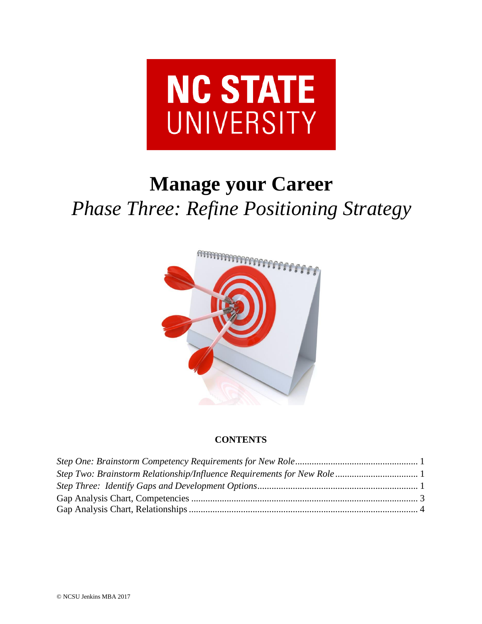

# **Manage your Career** *Phase Three: Refine Positioning Strategy*



# **CONTENTS**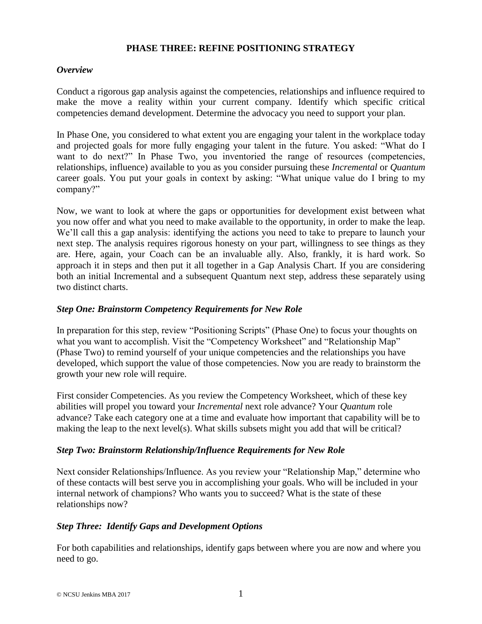## **PHASE THREE: REFINE POSITIONING STRATEGY**

#### *Overview*

Conduct a rigorous gap analysis against the competencies, relationships and influence required to make the move a reality within your current company. Identify which specific critical competencies demand development. Determine the advocacy you need to support your plan.

In Phase One, you considered to what extent you are engaging your talent in the workplace today and projected goals for more fully engaging your talent in the future. You asked: "What do I want to do next?" In Phase Two, you inventoried the range of resources (competencies, relationships, influence) available to you as you consider pursuing these *Incremental* or *Quantum*  career goals. You put your goals in context by asking: "What unique value do I bring to my company?"

Now, we want to look at where the gaps or opportunities for development exist between what you now offer and what you need to make available to the opportunity, in order to make the leap. We'll call this a gap analysis: identifying the actions you need to take to prepare to launch your next step. The analysis requires rigorous honesty on your part, willingness to see things as they are. Here, again, your Coach can be an invaluable ally. Also, frankly, it is hard work. So approach it in steps and then put it all together in a Gap Analysis Chart. If you are considering both an initial Incremental and a subsequent Quantum next step, address these separately using two distinct charts.

#### <span id="page-1-0"></span>*Step One: Brainstorm Competency Requirements for New Role*

In preparation for this step, review "Positioning Scripts" (Phase One) to focus your thoughts on what you want to accomplish. Visit the "Competency Worksheet" and "Relationship Map" (Phase Two) to remind yourself of your unique competencies and the relationships you have developed, which support the value of those competencies. Now you are ready to brainstorm the growth your new role will require.

First consider Competencies. As you review the Competency Worksheet, which of these key abilities will propel you toward your *Incremental* next role advance? Your *Quantum* role advance? Take each category one at a time and evaluate how important that capability will be to making the leap to the next level(s). What skills subsets might you add that will be critical?

#### <span id="page-1-1"></span>*Step Two: Brainstorm Relationship/Influence Requirements for New Role*

Next consider Relationships/Influence. As you review your "Relationship Map," determine who of these contacts will best serve you in accomplishing your goals. Who will be included in your internal network of champions? Who wants you to succeed? What is the state of these relationships now?

#### <span id="page-1-2"></span>*Step Three: Identify Gaps and Development Options*

For both capabilities and relationships, identify gaps between where you are now and where you need to go.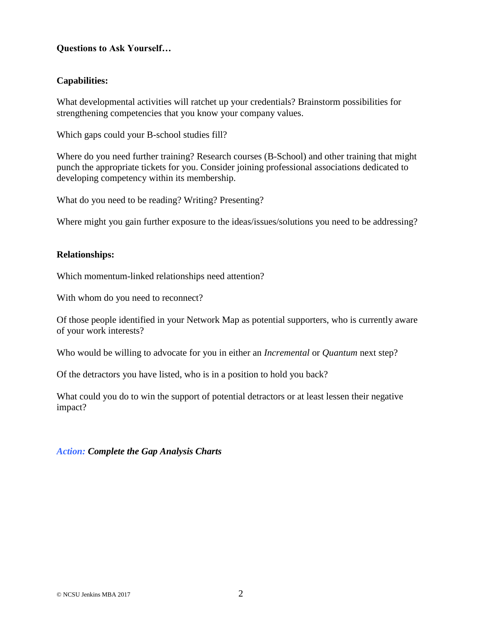## **Questions to Ask Yourself…**

## **Capabilities:**

What developmental activities will ratchet up your credentials? Brainstorm possibilities for strengthening competencies that you know your company values.

Which gaps could your B-school studies fill?

Where do you need further training? Research courses (B-School) and other training that might punch the appropriate tickets for you. Consider joining professional associations dedicated to developing competency within its membership.

What do you need to be reading? Writing? Presenting?

Where might you gain further exposure to the ideas/issues/solutions you need to be addressing?

#### **Relationships:**

Which momentum-linked relationships need attention?

With whom do you need to reconnect?

Of those people identified in your Network Map as potential supporters, who is currently aware of your work interests?

Who would be willing to advocate for you in either an *Incremental* or *Quantum* next step?

Of the detractors you have listed, who is in a position to hold you back?

What could you do to win the support of potential detractors or at least lessen their negative impact?

*Action: Complete the Gap Analysis Charts*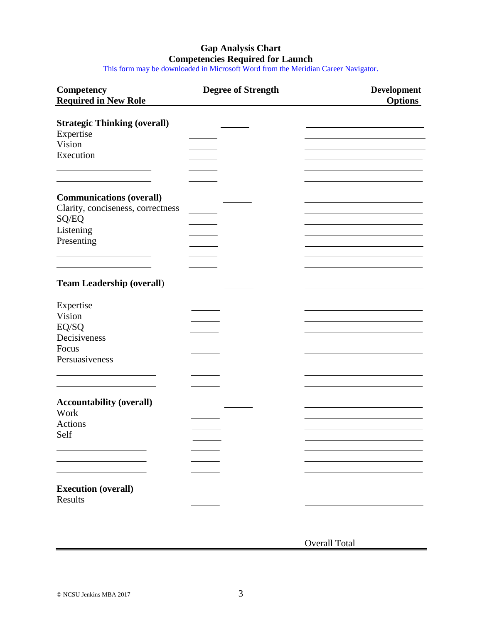# **Gap Analysis Chart Competencies Required for Launch**

This form may be downloaded in Microsoft Word from the Meridian Career Navigator.

| <b>Competency</b><br><b>Required in New Role</b> | <b>Degree of Strength</b> | Development<br><b>Options</b> |
|--------------------------------------------------|---------------------------|-------------------------------|
| <b>Strategic Thinking (overall)</b>              |                           |                               |
| Expertise                                        |                           |                               |
| Vision                                           |                           |                               |
| Execution                                        |                           |                               |
|                                                  |                           |                               |
| <b>Communications (overall)</b>                  |                           |                               |
| Clarity, conciseness, correctness                |                           |                               |
| SQ/EQ                                            |                           |                               |
| Listening                                        |                           |                               |
| Presenting                                       |                           |                               |
|                                                  |                           |                               |
|                                                  |                           |                               |
|                                                  |                           |                               |
| <b>Team Leadership (overall)</b>                 |                           |                               |
| Expertise                                        |                           |                               |
| Vision                                           |                           |                               |
| $EQ/SQ$                                          |                           |                               |
| Decisiveness                                     |                           |                               |
| Focus                                            |                           |                               |
| Persuasiveness                                   |                           |                               |
|                                                  |                           |                               |
|                                                  |                           |                               |
|                                                  |                           |                               |
| <b>Accountability (overall)</b>                  |                           |                               |
| Work                                             |                           |                               |
| Actions                                          |                           |                               |
| Self                                             |                           |                               |
|                                                  |                           |                               |
|                                                  |                           |                               |
|                                                  |                           |                               |
|                                                  |                           |                               |
| <b>Execution (overall)</b>                       |                           |                               |
| Results                                          |                           |                               |

Overall Total